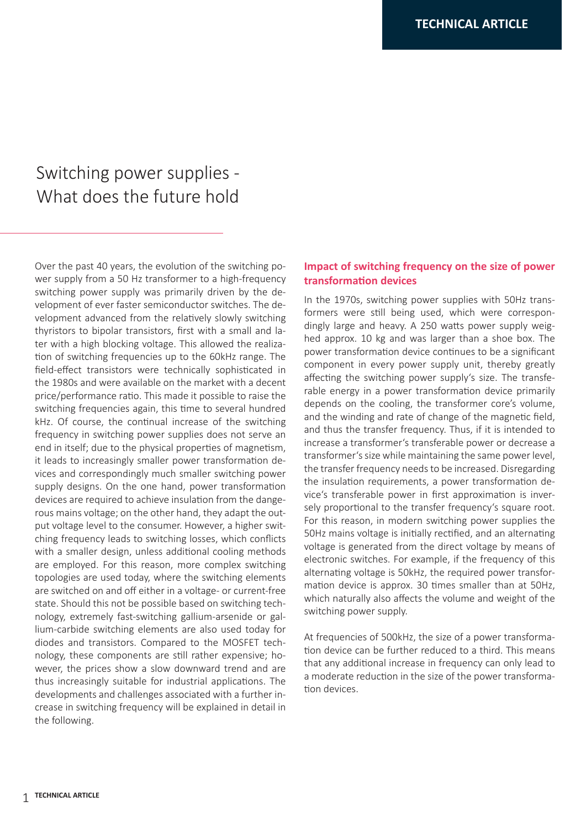# Switching power supplies - What does the future hold

Over the past 40 years, the evolution of the switching power supply from a 50 Hz transformer to a high-frequency switching power supply was primarily driven by the development of ever faster semiconductor switches. The development advanced from the relatively slowly switching thyristors to bipolar transistors, first with a small and later with a high blocking voltage. This allowed the realization of switching frequencies up to the 60kHz range. The field-effect transistors were technically sophisticated in the 1980s and were available on the market with a decent price/performance ratio. This made it possible to raise the switching frequencies again, this time to several hundred kHz. Of course, the continual increase of the switching frequency in switching power supplies does not serve an end in itself; due to the physical properties of magnetism, it leads to increasingly smaller power transformation devices and correspondingly much smaller switching power supply designs. On the one hand, power transformation devices are required to achieve insulation from the dangerous mains voltage; on the other hand, they adapt the output voltage level to the consumer. However, a higher switching frequency leads to switching losses, which conflicts with a smaller design, unless additional cooling methods are employed. For this reason, more complex switching topologies are used today, where the switching elements are switched on and off either in a voltage- or current-free state. Should this not be possible based on switching technology, extremely fast-switching gallium-arsenide or gallium-carbide switching elements are also used today for diodes and transistors. Compared to the MOSFET technology, these components are still rather expensive; however, the prices show a slow downward trend and are thus increasingly suitable for industrial applications. The developments and challenges associated with a further increase in switching frequency will be explained in detail in the following.

# **Impact of switching frequency on the size of power transformation devices**

In the 1970s, switching power supplies with 50Hz transformers were still being used, which were correspondingly large and heavy. A 250 watts power supply weighed approx. 10 kg and was larger than a shoe box. The power transformation device continues to be a significant component in every power supply unit, thereby greatly affecting the switching power supply's size. The transferable energy in a power transformation device primarily depends on the cooling, the transformer core's volume, and the winding and rate of change of the magnetic field, and thus the transfer frequency. Thus, if it is intended to increase a transformer's transferable power or decrease a transformer's size while maintaining the same power level, the transfer frequency needs to be increased. Disregarding the insulation requirements, a power transformation device's transferable power in first approximation is inversely proportional to the transfer frequency's square root. For this reason, in modern switching power supplies the 50Hz mains voltage is initially rectified, and an alternating voltage is generated from the direct voltage by means of electronic switches. For example, if the frequency of this alternating voltage is 50kHz, the required power transformation device is approx. 30 times smaller than at 50Hz, which naturally also affects the volume and weight of the switching power supply.

At frequencies of 500kHz, the size of a power transformation device can be further reduced to a third. This means that any additional increase in frequency can only lead to a moderate reduction in the size of the power transformation devices.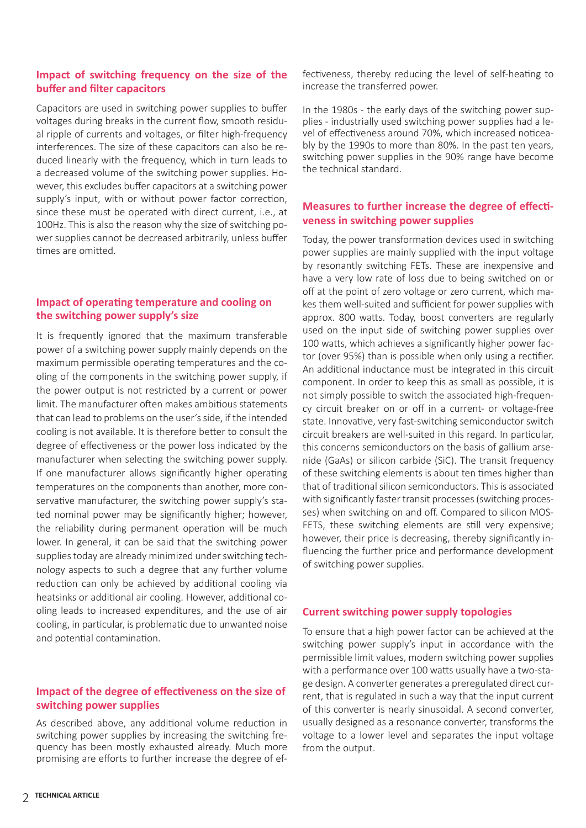### **Impact of switching frequency on the size of the buffer and filter capacitors**

Capacitors are used in switching power supplies to buffer voltages during breaks in the current flow, smooth residual ripple of currents and voltages, or filter high-frequency interferences. The size of these capacitors can also be reduced linearly with the frequency, which in turn leads to a decreased volume of the switching power supplies. However, this excludes buffer capacitors at a switching power supply's input, with or without power factor correction, since these must be operated with direct current, i.e., at 100Hz. This is also the reason why the size of switching power supplies cannot be decreased arbitrarily, unless buffer times are omitted.

# **Impact of operating temperature and cooling on the switching power supply's size**

It is frequently ignored that the maximum transferable power of a switching power supply mainly depends on the maximum permissible operating temperatures and the cooling of the components in the switching power supply, if the power output is not restricted by a current or power limit. The manufacturer often makes ambitious statements that can lead to problems on the user's side, if the intended cooling is not available. It is therefore better to consult the degree of effectiveness or the power loss indicated by the manufacturer when selecting the switching power supply. If one manufacturer allows significantly higher operating temperatures on the components than another, more conservative manufacturer, the switching power supply's stated nominal power may be significantly higher; however, the reliability during permanent operation will be much lower. In general, it can be said that the switching power supplies today are already minimized under switching technology aspects to such a degree that any further volume reduction can only be achieved by additional cooling via heatsinks or additional air cooling. However, additional cooling leads to increased expenditures, and the use of air cooling, in particular, is problematic due to unwanted noise and potential contamination.

# **Impact of the degree of effectiveness on the size of switching power supplies**

As described above, any additional volume reduction in switching power supplies by increasing the switching frequency has been mostly exhausted already. Much more promising are efforts to further increase the degree of effectiveness, thereby reducing the level of self-heating to increase the transferred power.

In the 1980s - the early days of the switching power supplies - industrially used switching power supplies had a level of effectiveness around 70%, which increased noticeably by the 1990s to more than 80%. In the past ten years, switching power supplies in the 90% range have become the technical standard.

# **Measures to further increase the degree of effectiveness in switching power supplies**

Today, the power transformation devices used in switching power supplies are mainly supplied with the input voltage by resonantly switching FETs. These are inexpensive and have a very low rate of loss due to being switched on or off at the point of zero voltage or zero current, which makes them well-suited and sufficient for power supplies with approx. 800 watts. Today, boost converters are regularly used on the input side of switching power supplies over 100 watts, which achieves a significantly higher power factor (over 95%) than is possible when only using a rectifier. An additional inductance must be integrated in this circuit component. In order to keep this as small as possible, it is not simply possible to switch the associated high-frequency circuit breaker on or off in a current- or voltage-free state. Innovative, very fast-switching semiconductor switch circuit breakers are well-suited in this regard. In particular, this concerns semiconductors on the basis of gallium arsenide (GaAs) or silicon carbide (SiC). The transit frequency of these switching elements is about ten times higher than that of traditional silicon semiconductors. This is associated with significantly faster transit processes (switching processes) when switching on and off. Compared to silicon MOS-FETS, these switching elements are still very expensive; however, their price is decreasing, thereby significantly influencing the further price and performance development of switching power supplies.

#### **Current switching power supply topologies**

To ensure that a high power factor can be achieved at the switching power supply's input in accordance with the permissible limit values, modern switching power supplies with a performance over 100 watts usually have a two-stage design. A converter generates a preregulated direct current, that is regulated in such a way that the input current of this converter is nearly sinusoidal. A second converter, usually designed as a resonance converter, transforms the voltage to a lower level and separates the input voltage from the output.